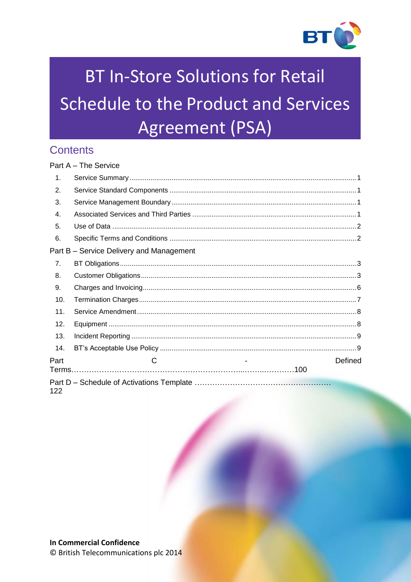

# **BT In-Store Solutions for Retail** Schedule to the Product and Services Agreement (PSA)

# **Contents**

|               | $Part A - The Service$                   |         |
|---------------|------------------------------------------|---------|
| $\mathbf 1$ . |                                          |         |
| 2.            |                                          |         |
| 3.            |                                          |         |
| 4.            |                                          |         |
| 5.            |                                          |         |
| 6.            |                                          |         |
|               | Part B - Service Delivery and Management |         |
| 7.            |                                          |         |
| 8.            |                                          |         |
| 9.            |                                          |         |
| 10.           |                                          |         |
| 11.           |                                          |         |
| 12.           |                                          |         |
| 13.           |                                          |         |
| 14.           |                                          |         |
| Part          | C                                        | Defined |
| 122           |                                          |         |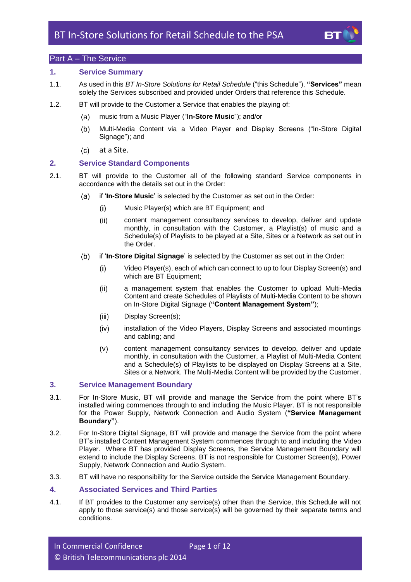

# <span id="page-1-0"></span>Part A – The Service

# <span id="page-1-1"></span>**1. Service Summary**

- <span id="page-1-7"></span>1.1. As used in this *BT In-Store Solutions for Retail Schedule* ("this Schedule"), **"Services"** mean solely the Services subscribed and provided under Orders that reference this Schedule.
- <span id="page-1-6"></span>1.2. BT will provide to the Customer a Service that enables the playing of:
	- music from a Music Player ("**In-Store Music**"); and/or  $(a)$
	- $(b)$ Multi-Media Content via a Video Player and Display Screens ("In-Store Digital Signage"); and
	- $(c)$ at a Site.

# <span id="page-1-2"></span>**2. Service Standard Components**

- <span id="page-1-5"></span>2.1. BT will provide to the Customer all of the following standard Service components in accordance with the details set out in the Order:
	- $(a)$ if '**In-Store Music**' is selected by the Customer as set out in the Order:
		- $(i)$ Music Player(s) which are BT Equipment; and
		- $(ii)$ content management consultancy services to develop, deliver and update monthly, in consultation with the Customer, a Playlist(s) of music and a Schedule(s) of Playlists to be played at a Site, Sites or a Network as set out in the Order.
	- $(b)$ if '**In-Store Digital Signage**' is selected by the Customer as set out in the Order:
		- Video Player(s), each of which can connect to up to four Display Screen(s) and  $(i)$ which are BT Equipment;
		- a management system that enables the Customer to upload Multi-Media  $(ii)$ Content and create Schedules of Playlists of Multi-Media Content to be shown on In-Store Digital Signage (**"Content Management System"**);
		- $(iii)$ Display Screen(s);
		- $(iv)$ installation of the Video Players, Display Screens and associated mountings and cabling; and
		- $(v)$ content management consultancy services to develop, deliver and update monthly, in consultation with the Customer, a Playlist of Multi-Media Content and a Schedule(s) of Playlists to be displayed on Display Screens at a Site, Sites or a Network. The Multi-Media Content will be provided by the Customer.

# <span id="page-1-3"></span>**3. Service Management Boundary**

- <span id="page-1-8"></span>3.1. For In-Store Music, BT will provide and manage the Service from the point where BT's installed wiring commences through to and including the Music Player. BT is not responsible for the Power Supply, Network Connection and Audio System (**"Service Management Boundary"**).
- 3.2. For In-Store Digital Signage, BT will provide and manage the Service from the point where BT's installed Content Management System commences through to and including the Video Player. Where BT has provided Display Screens, the Service Management Boundary will extend to include the Display Screens. BT is not responsible for Customer Screen(s), Power Supply, Network Connection and Audio System.
- 3.3. BT will have no responsibility for the Service outside the Service Management Boundary.

# <span id="page-1-4"></span>**4. Associated Services and Third Parties**

4.1. If BT provides to the Customer any service(s) other than the Service, this Schedule will not apply to those service(s) and those service(s) will be governed by their separate terms and conditions.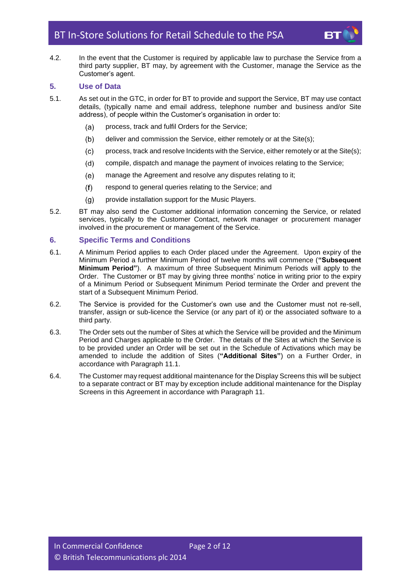

4.2. In the event that the Customer is required by applicable law to purchase the Service from a third party supplier, BT may, by agreement with the Customer, manage the Service as the Customer's agent.

# <span id="page-2-0"></span>**5. Use of Data**

- 5.1. As set out in the GTC, in order for BT to provide and support the Service, BT may use contact details, (typically name and email address, telephone number and business and/or Site address), of people within the Customer's organisation in order to:
	- process, track and fulfil Orders for the Service;  $(a)$
	- $(b)$ deliver and commission the Service, either remotely or at the Site(s);
	- process, track and resolve Incidents with the Service, either remotely or at the Site(s);  $(c)$
	- compile, dispatch and manage the payment of invoices relating to the Service;  $(d)$
	- $(e)$ manage the Agreement and resolve any disputes relating to it;
	- respond to general queries relating to the Service; and  $(f)$
	- provide installation support for the Music Players.  $(q)$
- 5.2. BT may also send the Customer additional information concerning the Service, or related services, typically to the Customer Contact, network manager or procurement manager involved in the procurement or management of the Service.

# <span id="page-2-1"></span>**6. Specific Terms and Conditions**

- <span id="page-2-3"></span>6.1. A Minimum Period applies to each Order placed under the Agreement. Upon expiry of the Minimum Period a further Minimum Period of twelve months will commence (**"Subsequent Minimum Period"**). A maximum of three Subsequent Minimum Periods will apply to the Order. The Customer or BT may by giving three months' notice in writing prior to the expiry of a Minimum Period or Subsequent Minimum Period terminate the Order and prevent the start of a Subsequent Minimum Period.
- 6.2. The Service is provided for the Customer's own use and the Customer must not re-sell, transfer, assign or sub-licence the Service (or any part of it) or the associated software to a third party.
- <span id="page-2-2"></span>6.3. The Order sets out the number of Sites at which the Service will be provided and the Minimum Period and Charges applicable to the Order. The details of the Sites at which the Service is to be provided under an Order will be set out in the Schedule of Activations which may be amended to include the addition of Sites (**"Additional Sites"**) on a Further Order, in accordance with Paragraph [11.1.](#page-8-2)
- 6.4. The Customer may request additional maintenance for the Display Screens this will be subject to a separate contract or BT may by exception include additional maintenance for the Display Screens in this Agreement in accordance with Paragraph [11.](#page-8-0)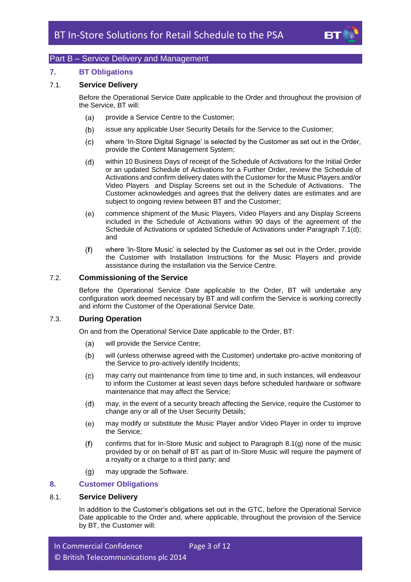

# <span id="page-3-0"></span>Part B – Service Delivery and Management

### <span id="page-3-1"></span>**7. BT Obligations**

#### 7.1. **Service Delivery**

Before the Operational Service Date applicable to the Order and throughout the provision of the Service, BT will:

- provide a Service Centre to the Customer;  $(a)$
- $(b)$ issue any applicable User Security Details for the Service to the Customer;
- $(c)$ where 'In-Store Digital Signage' is selected by the Customer as set out in the Order, provide the Content Management System;
- <span id="page-3-3"></span> $(d)$ within 10 Business Days of receipt of the Schedule of Activations for the Initial Order or an updated Schedule of Activations for a Further Order, review the Schedule of Activations and confirm delivery dates with the Customer for the Music Players and/or Video Players and Display Screens set out in the Schedule of Activations. The Customer acknowledges and agrees that the delivery dates are estimates and are subject to ongoing review between BT and the Customer;
- commence shipment of the Music Players, Video Players and any Display Screens  $(e)$ included in the Schedule of Activations within 90 days of the agreement of the Schedule of Activations or updated Schedule of Activations under Paragraph [7.1\(d\);](#page-3-3) and
- where 'In-Store Music' is selected by the Customer as set out in the Order, provide  $(f)$ the Customer with Installation Instructions for the Music Players and provide assistance during the installation via the Service Centre.

#### <span id="page-3-5"></span>7.2. **Commissioning of the Service**

Before the Operational Service Date applicable to the Order, BT will undertake any configuration work deemed necessary by BT and will confirm the Service is working correctly and inform the Customer of the Operational Service Date.

# 7.3. **During Operation**

On and from the Operational Service Date applicable to the Order, BT:

- $(a)$ will provide the Service Centre;
- $(b)$ will (unless otherwise agreed with the Customer) undertake pro-active monitoring of the Service to pro-actively identify Incidents;
- may carry out maintenance from time to time and, in such instances, will endeavour  $(c)$ to inform the Customer at least seven days before scheduled hardware or software maintenance that may affect the Service;
- may, in the event of a security breach affecting the Service, require the Customer to  $(d)$ change any or all of the User Security Details;
- $(e)$ may modify or substitute the Music Player and/or Video Player in order to improve the Service;
- $(f)$ confirms that for In-Store Music and subject to Paragraph [8.1\(g\)](#page-4-0) none of the music provided by or on behalf of BT as part of In-Store Music will require the payment of a royalty or a charge to a third party; and
- $(g)$ may upgrade the Software.

### <span id="page-3-2"></span>**8. Customer Obligations**

## <span id="page-3-4"></span>8.1. **Service Delivery**

In addition to the Customer's obligations set out in the GTC, before the Operational Service Date applicable to the Order and, where applicable, throughout the provision of the Service by BT, the Customer will: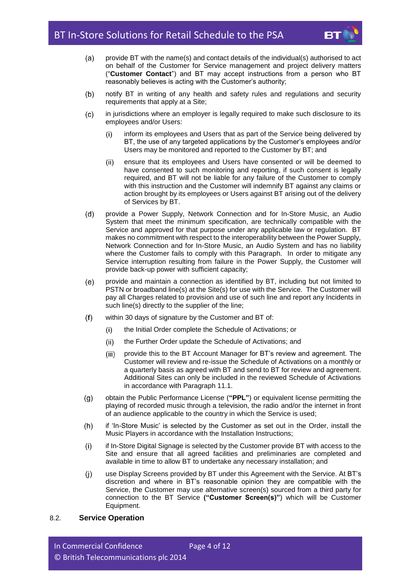

- <span id="page-4-2"></span> $(a)$ provide BT with the name(s) and contact details of the individual(s) authorised to act on behalf of the Customer for Service management and project delivery matters ("**Customer Contact**") and BT may accept instructions from a person who BT reasonably believes is acting with the Customer's authority;
- $(b)$ notify BT in writing of any health and safety rules and regulations and security requirements that apply at a Site;
- $(c)$ in jurisdictions where an employer is legally required to make such disclosure to its employees and/or Users:
	- inform its employees and Users that as part of the Service being delivered by  $(i)$ BT, the use of any targeted applications by the Customer's employees and/or Users may be monitored and reported to the Customer by BT; and
	- ensure that its employees and Users have consented or will be deemed to  $(ii)$ have consented to such monitoring and reporting, if such consent is legally required, and BT will not be liable for any failure of the Customer to comply with this instruction and the Customer will indemnify BT against any claims or action brought by its employees or Users against BT arising out of the delivery of Services by BT.
- $(d)$ provide a Power Supply, Network Connection and for In-Store Music, an Audio System that meet the minimum specification, are technically compatible with the Service and approved for that purpose under any applicable law or regulation. BT makes no commitment with respect to the interoperability between the Power Supply, Network Connection and for In-Store Music, an Audio System and has no liability where the Customer fails to comply with this Paragraph. In order to mitigate any Service interruption resulting from failure in the Power Supply, the Customer will provide back-up power with sufficient capacity;
- provide and maintain a connection as identified by BT, including but not limited to  $(e)$ PSTN or broadband line(s) at the Site(s) for use with the Service. The Customer will pay all Charges related to provision and use of such line and report any Incidents in such line(s) directly to the supplier of the line;
- $(f)$ within 30 days of signature by the Customer and BT of:
	- $(i)$ the Initial Order complete the Schedule of Activations; or
	- the Further Order update the Schedule of Activations; and  $(ii)$
	- $(iii)$ provide this to the BT Account Manager for BT's review and agreement. The Customer will review and re-issue the Schedule of Activations on a monthly or a quarterly basis as agreed with BT and send to BT for review and agreement. Additional Sites can only be included in the reviewed Schedule of Activations in accordance with Paragraph [11.1.](#page-8-2)
- <span id="page-4-0"></span> $(q)$ obtain the Public Performance License (**"PPL"**) or equivalent license permitting the playing of recorded music through a television, the radio and/or the internet in front of an audience applicable to the country in which the Service is used;
- if 'In-Store Music' is selected by the Customer as set out in the Order, install the  $(h)$ Music Players in accordance with the Installation Instructions;
- $(i)$ if In-Store Digital Signage is selected by the Customer provide BT with access to the Site and ensure that all agreed facilities and preliminaries are completed and available in time to allow BT to undertake any necessary installation; and
- <span id="page-4-3"></span>use Display Screens provided by BT under this Agreement with the Service. At BT's  $(i)$ discretion and where in BT's reasonable opinion they are compatible with the Service, the Customer may use alternative screen(s) sourced from a third party for connection to the BT Service **("Customer Screen(s)"**) which will be Customer Equipment.

# <span id="page-4-1"></span>8.2. **Service Operation**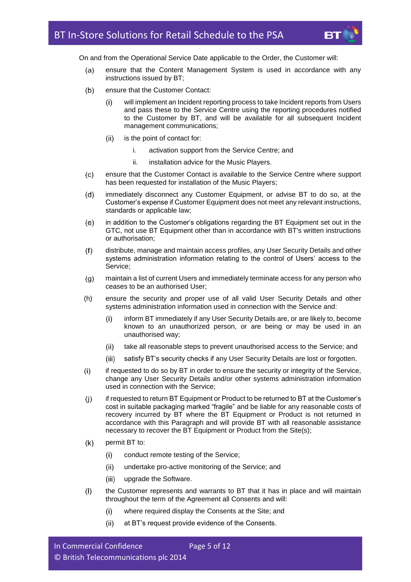

On and from the Operational Service Date applicable to the Order, the Customer will:

- $(a)$ ensure that the Content Management System is used in accordance with any instructions issued by BT;
- $(b)$ ensure that the Customer Contact:
	- $(i)$ will implement an Incident reporting process to take Incident reports from Users and pass these to the Service Centre using the reporting procedures notified to the Customer by BT, and will be available for all subsequent Incident management communications;
	- is the point of contact for:  $(ii)$ 
		- i. activation support from the Service Centre; and
		- ii. installation advice for the Music Players.
- ensure that the Customer Contact is available to the Service Centre where support  $(c)$ has been requested for installation of the Music Players:
- $(d)$ immediately disconnect any Customer Equipment, or advise BT to do so, at the Customer's expense if Customer Equipment does not meet any relevant instructions, standards or applicable law;
- in addition to the Customer's obligations regarding the BT Equipment set out in the  $(e)$ GTC, not use BT Equipment other than in accordance with BT's written instructions or authorisation;
- $(f)$ distribute, manage and maintain access profiles, any User Security Details and other systems administration information relating to the control of Users' access to the Service;
- $(q)$ maintain a list of current Users and immediately terminate access for any person who ceases to be an authorised User;
- (h) ensure the security and proper use of all valid User Security Details and other systems administration information used in connection with the Service and:
	- inform BT immediately if any User Security Details are, or are likely to, become  $(i)$ known to an unauthorized person, or are being or may be used in an unauthorised way;
	- take all reasonable steps to prevent unauthorised access to the Service; and  $(ii)$
	- $(iii)$ satisfy BT's security checks if any User Security Details are lost or forgotten.
- $(i)$ if requested to do so by BT in order to ensure the security or integrity of the Service, change any User Security Details and/or other systems administration information used in connection with the Service;
- if requested to return BT Equipment or Product to be returned to BT at the Customer's  $(i)$ cost in suitable packaging marked "fragile" and be liable for any reasonable costs of recovery incurred by BT where the BT Equipment or Product is not returned in accordance with this Paragraph and will provide BT with all reasonable assistance necessary to recover the BT Equipment or Product from the Site(s);
- $(k)$ permit BT to:
	- conduct remote testing of the Service;  $(i)$
	- undertake pro-active monitoring of the Service; and  $(ii)$
	- $(iii)$ upgrade the Software.
- $(1)$ the Customer represents and warrants to BT that it has in place and will maintain throughout the term of the Agreement all Consents and will:
	- $(i)$ where required display the Consents at the Site; and
	- $(ii)$ at BT's request provide evidence of the Consents.

| In Commercial Confidence              | Page 5 of 12 |
|---------------------------------------|--------------|
| © British Telecommunications plc 2014 |              |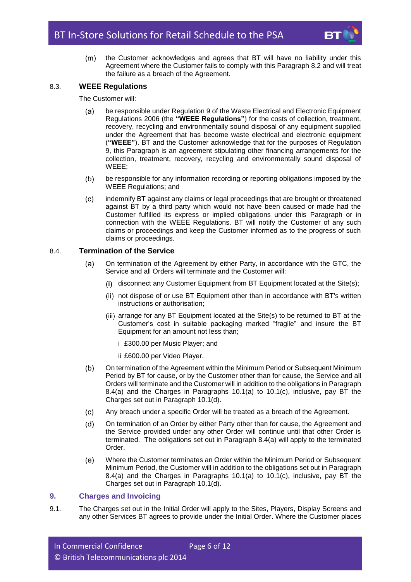

the Customer acknowledges and agrees that BT will have no liability under this  $(m)$ Agreement where the Customer fails to comply with this Paragraph [8.2](#page-4-1) and will treat the failure as a breach of the Agreement.

# <span id="page-6-4"></span>8.3. **WEEE Regulations**

The Customer will:

- be responsible under Regulation 9 of the Waste Electrical and Electronic Equipment  $(a)$ Regulations 2006 (the **"WEEE Regulations"**) for the costs of collection, treatment, recovery, recycling and environmentally sound disposal of any equipment supplied under the Agreement that has become waste electrical and electronic equipment (**"WEEE"**). BT and the Customer acknowledge that for the purposes of Regulation 9, this Paragraph is an agreement stipulating other financing arrangements for the collection, treatment, recovery, recycling and environmentally sound disposal of WEEE;
- be responsible for any information recording or reporting obligations imposed by the  $(b)$ WEEE Regulations; and
- $(c)$ indemnify BT against any claims or legal proceedings that are brought or threatened against BT by a third party which would not have been caused or made had the Customer fulfilled its express or implied obligations under this Paragraph or in connection with the WEEE Regulations. BT will notify the Customer of any such claims or proceedings and keep the Customer informed as to the progress of such claims or proceedings.

# <span id="page-6-1"></span>8.4. **Termination of the Service**

- $(a)$ On termination of the Agreement by either Party, in accordance with the GTC, the Service and all Orders will terminate and the Customer will:
	- (i) disconnect any Customer Equipment from BT Equipment located at the Site(s);
	- not dispose of or use BT Equipment other than in accordance with BT's written instructions or authorisation;
	- $(iii)$  arrange for any BT Equipment located at the Site(s) to be returned to BT at the Customer's cost in suitable packaging marked "fragile" and insure the BT Equipment for an amount not less than;
		- i £300.00 per Music Player; and
		- ii £600.00 per Video Player.
- <span id="page-6-2"></span>On termination of the Agreement within the Minimum Period or Subsequent Minimum  $(b)$ Period by BT for cause, or by the Customer other than for cause, the Service and all Orders will terminate and the Customer will in addition to the obligations in Paragraph [8.4\(a\)](#page-6-1) and the Charges in Paragraphs [10.1\(a\)](#page-7-1) to [10.1\(c\),](#page-7-2) inclusive, pay BT the Charges set out in Paragraph [10.1\(d\).](#page-7-3)
- Any breach under a specific Order will be treated as a breach of the Agreement.  $(c)$
- $(d)$ On termination of an Order by either Party other than for cause, the Agreement and the Service provided under any other Order will continue until that other Order is terminated. The obligations set out in Paragraph [8.4\(a\)](#page-6-1) will apply to the terminated Order.
- $(e)$ Where the Customer terminates an Order within the Minimum Period or Subsequent Minimum Period, the Customer will in addition to the obligations set out in Paragraph [8.4\(a\)](#page-6-1) and the Charges in Paragraphs [10.1\(a\)](#page-7-1) to [10.1\(c\),](#page-7-2) inclusive, pay BT the Charges set out in Paragraph [10.1\(d\).](#page-7-3)

# <span id="page-6-3"></span><span id="page-6-0"></span>**9. Charges and Invoicing**

9.1. The Charges set out in the Initial Order will apply to the Sites, Players, Display Screens and any other Services BT agrees to provide under the Initial Order. Where the Customer places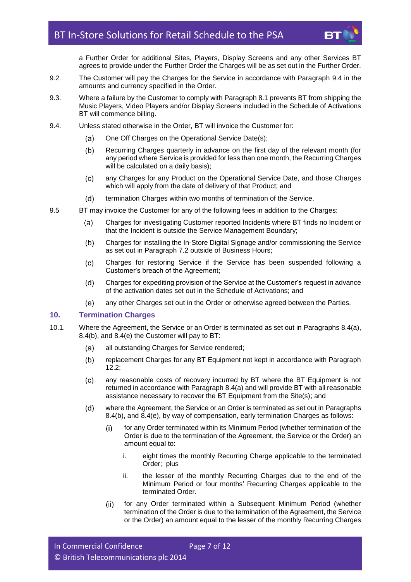

a Further Order for additional Sites, Players, Display Screens and any other Services BT agrees to provide under the Further Order the Charges will be as set out in the Further Order.

- 9.2. The Customer will pay the Charges for the Service in accordance with Paragraph [9.4](#page-7-4) in the amounts and currency specified in the Order.
- 9.3. Where a failure by the Customer to comply with Paragraph [8.1](#page-3-4) prevents BT from shipping the Music Players, Video Players and/or Display Screens included in the Schedule of Activations BT will commence billing.
- <span id="page-7-4"></span>9.4. Unless stated otherwise in the Order, BT will invoice the Customer for:
	- One Off Charges on the Operational Service Date(s);  $(a)$
	- Recurring Charges quarterly in advance on the first day of the relevant month (for  $(b)$ any period where Service is provided for less than one month, the Recurring Charges will be calculated on a daily basis);
	- $(c)$ any Charges for any Product on the Operational Service Date, and those Charges which will apply from the date of delivery of that Product; and
	- termination Charges within two months of termination of the Service.  $(d)$
- 9.5 BT may invoice the Customer for any of the following fees in addition to the Charges:
	- Charges for investigating Customer reported Incidents where BT finds no Incident or  $(a)$ that the Incident is outside the Service Management Boundary;
	- $(b)$ Charges for installing the In-Store Digital Signage and/or commissioning the Service as set out in Paragraph [7.2](#page-3-5) outside of Business Hours;
	- Charges for restoring Service if the Service has been suspended following a  $(c)$ Customer's breach of the Agreement;
	- $(d)$ Charges for expediting provision of the Service at the Customer's request in advance of the activation dates set out in the Schedule of Activations; and
	- (e) any other Charges set out in the Order or otherwise agreed between the Parties.

#### <span id="page-7-0"></span>**10. Termination Charges**

- <span id="page-7-3"></span><span id="page-7-2"></span><span id="page-7-1"></span>10.1. Where the Agreement, the Service or an Order is terminated as set out in Paragraphs [8.4\(a\),](#page-6-1) [8.4\(b\),](#page-6-2) and [8.4\(e\)](#page-6-3) the Customer will pay to BT:
	- all outstanding Charges for Service rendered;  $(a)$
	- $(b)$ replacement Charges for any BT Equipment not kept in accordance with Paragraph  $12.2$ :
	- $(c)$ any reasonable costs of recovery incurred by BT where the BT Equipment is not returned in accordance with Paragraph [8.4\(a\)](#page-6-1) and will provide BT with all reasonable assistance necessary to recover the BT Equipment from the Site(s); and
	- $(d)$ where the Agreement, the Service or an Order is terminated as set out in Paragraphs [8.4\(b\),](#page-6-2) and [8.4\(e\),](#page-6-3) by way of compensation, early termination Charges as follows:
		- for any Order terminated within its Minimum Period (whether termination of the  $(i)$ Order is due to the termination of the Agreement, the Service or the Order) an amount equal to:
			- i. eight times the monthly Recurring Charge applicable to the terminated Order; plus
			- ii. the lesser of the monthly Recurring Charges due to the end of the Minimum Period or four months' Recurring Charges applicable to the terminated Order.
		- $(ii)$ for any Order terminated within a Subsequent Minimum Period (whether termination of the Order is due to the termination of the Agreement, the Service or the Order) an amount equal to the lesser of the monthly Recurring Charges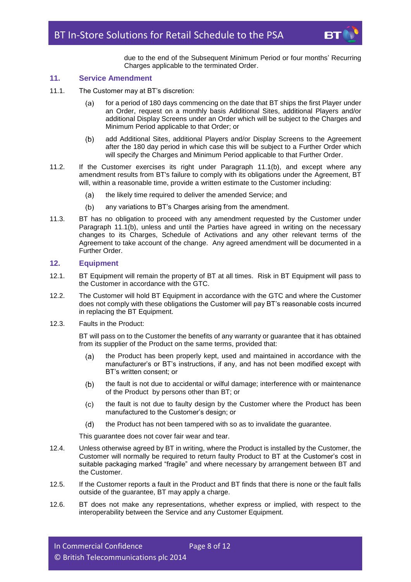

due to the end of the Subsequent Minimum Period or four months' Recurring Charges applicable to the terminated Order.

# <span id="page-8-0"></span>**11. Service Amendment**

- <span id="page-8-2"></span>11.1. The Customer may at BT's discretion:
	- for a period of 180 days commencing on the date that BT ships the first Player under  $(a)$ an Order, request on a monthly basis Additional Sites, additional Players and/or additional Display Screens under an Order which will be subject to the Charges and Minimum Period applicable to that Order; or
	- $(b)$ add Additional Sites, additional Players and/or Display Screens to the Agreement after the 180 day period in which case this will be subject to a Further Order which will specify the Charges and Minimum Period applicable to that Further Order.
- <span id="page-8-4"></span>11.2. If the Customer exercises its right under Paragraph [11.1\(b\),](#page-8-4) and except where any amendment results from BT's failure to comply with its obligations under the Agreement, BT will, within a reasonable time, provide a written estimate to the Customer including:
	- the likely time required to deliver the amended Service; and  $(a)$
	- any variations to BT's Charges arising from the amendment.  $(b)$
- 11.3. BT has no obligation to proceed with any amendment requested by the Customer under Paragraph [11.1\(b\),](#page-8-4) unless and until the Parties have agreed in writing on the necessary changes to its Charges, Schedule of Activations and any other relevant terms of the Agreement to take account of the change. Any agreed amendment will be documented in a Further Order.

#### <span id="page-8-1"></span>**12. Equipment**

- 12.1. BT Equipment will remain the property of BT at all times. Risk in BT Equipment will pass to the Customer in accordance with the GTC.
- <span id="page-8-3"></span>12.2. The Customer will hold BT Equipment in accordance with the GTC and where the Customer does not comply with these obligations the Customer will pay BT's reasonable costs incurred in replacing the BT Equipment.
- <span id="page-8-5"></span>12.3. Faults in the Product:

BT will pass on to the Customer the benefits of any warranty or guarantee that it has obtained from its supplier of the Product on the same terms, provided that:

- the Product has been properly kept, used and maintained in accordance with the  $(a)$ manufacturer's or BT's instructions, if any, and has not been modified except with BT's written consent; or
- the fault is not due to accidental or wilful damage; interference with or maintenance  $(b)$ of the Product by persons other than BT; or
- the fault is not due to faulty design by the Customer where the Product has been  $(c)$ manufactured to the Customer's design; or
- the Product has not been tampered with so as to invalidate the guarantee.  $(d)$

This guarantee does not cover fair wear and tear.

- 12.4. Unless otherwise agreed by BT in writing, where the Product is installed by the Customer, the Customer will normally be required to return faulty Product to BT at the Customer's cost in suitable packaging marked "fragile" and where necessary by arrangement between BT and the Customer.
- <span id="page-8-6"></span>12.5. If the Customer reports a fault in the Product and BT finds that there is none or the fault falls outside of the guarantee, BT may apply a charge.
- 12.6. BT does not make any representations, whether express or implied, with respect to the interoperability between the Service and any Customer Equipment.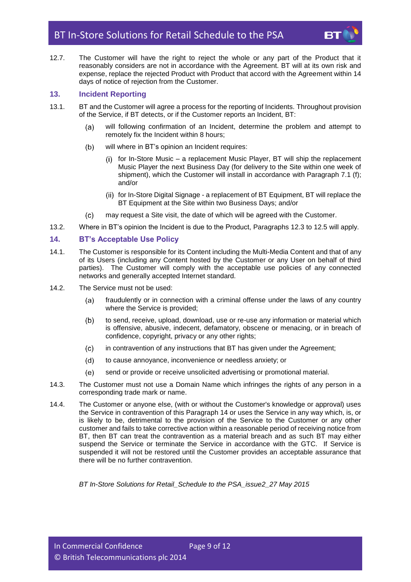12.7. The Customer will have the right to reject the whole or any part of the Product that it reasonably considers are not in accordance with the Agreement. BT will at its own risk and expense, replace the rejected Product with Product that accord with the Agreement within 14 days of notice of rejection from the Customer.

# <span id="page-9-0"></span>**13. Incident Reporting**

- 13.1. BT and the Customer will agree a process for the reporting of Incidents. Throughout provision of the Service, if BT detects, or if the Customer reports an Incident, BT:
	- will following confirmation of an Incident, determine the problem and attempt to  $(a)$ remotely fix the Incident within 8 hours;
	- $(b)$ will where in BT's opinion an Incident requires:
		- (i) for In-Store Music a replacement Music Player, BT will ship the replacement Music Player the next Business Day (for delivery to the Site within one week of shipment), which the Customer will install in accordance with Paragraph 7.1 (f); and/or
		- (ii) for In-Store Digital Signage a replacement of BT Equipment, BT will replace the BT Equipment at the Site within two Business Days; and/or
	- may request a Site visit, the date of which will be agreed with the Customer.  $(c)$
- 13.2. Where in BT's opinion the Incident is due to the Product, Paragraphs [12.3](#page-8-5) t[o 12.5](#page-8-6) will apply.

# <span id="page-9-1"></span>**14. BT's Acceptable Use Policy**

- 14.1. The Customer is responsible for its Content including the Multi-Media Content and that of any of its Users (including any Content hosted by the Customer or any User on behalf of third parties). The Customer will comply with the acceptable use policies of any connected networks and generally accepted Internet standard.
- 14.2. The Service must not be used:
	- fraudulently or in connection with a criminal offense under the laws of any country  $(a)$ where the Service is provided;
	- $(b)$ to send, receive, upload, download, use or re-use any information or material which is offensive, abusive, indecent, defamatory, obscene or menacing, or in breach of confidence, copyright, privacy or any other rights;
	- in contravention of any instructions that BT has given under the Agreement;  $(c)$
	- $(d)$ to cause annoyance, inconvenience or needless anxiety; or
	- $(e)$ send or provide or receive unsolicited advertising or promotional material.
- 14.3. The Customer must not use a Domain Name which infringes the rights of any person in a corresponding trade mark or name.
- 14.4. The Customer or anyone else, (with or without the Customer's knowledge or approval) uses the Service in contravention of this Paragraph [14](#page-9-1) or uses the Service in any way which, is, or is likely to be, detrimental to the provision of the Service to the Customer or any other customer and fails to take corrective action within a reasonable period of receiving notice from BT, then BT can treat the contravention as a material breach and as such BT may either suspend the Service or terminate the Service in accordance with the GTC. If Service is suspended it will not be restored until the Customer provides an acceptable assurance that there will be no further contravention.

*BT In-Store Solutions for Retail\_Schedule to the PSA\_issue2\_27 May 2015*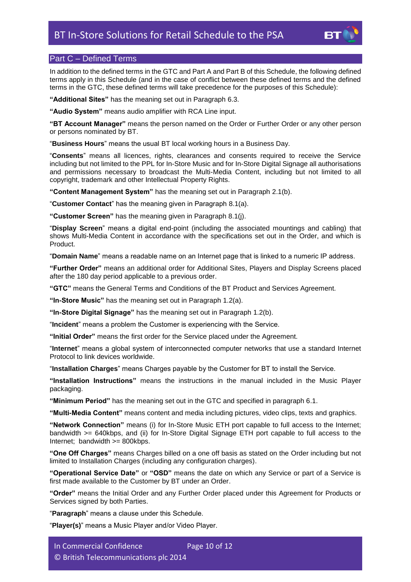

# <span id="page-10-0"></span>Part C – Defined Terms

In addition to the defined terms in the GTC and Part A and Part B of this Schedule, the following defined terms apply in this Schedule (and in the case of conflict between these defined terms and the defined terms in the GTC, these defined terms will take precedence for the purposes of this Schedule):

**"Additional Sites"** has the meaning set out in Paragraph [6.3.](#page-2-2)

**"Audio System"** means audio amplifier with RCA Line input.

**"BT Account Manager"** means the person named on the Order or Further Order or any other person or persons nominated by BT.

"**Business Hours**" means the usual BT local working hours in a Business Day.

"**Consents**" means all licences, rights, clearances and consents required to receive the Service including but not limited to the PPL for In-Store Music and for In-Store Digital Signage all authorisations and permissions necessary to broadcast the Multi-Media Content, including but not limited to all copyright, trademark and other Intellectual Property Rights.

**"Content Management System"** has the meaning set out in Paragraph [2.1\(b\).](#page-1-5)

"**Customer Contact**" has the meaning given in Paragraph [8.1\(a\).](#page-4-2)

**"Customer Screen"** has the meaning given in Paragraph [8.1\(j\).](#page-4-3)

"**Display Screen**" means a digital end-point (including the associated mountings and cabling) that shows Multi-Media Content in accordance with the specifications set out in the Order, and which is Product.

"**Domain Name**" means a readable name on an Internet page that is linked to a numeric IP address.

**"Further Order"** means an additional order for Additional Sites, Players and Display Screens placed after the 180 day period applicable to a previous order.

**"GTC"** means the General Terms and Conditions of the BT Product and Services Agreement.

**"In-Store Music"** has the meaning set out in Paragraph [1.2\(](#page-1-6)a).

**"In-Store Digital Signage"** has the meaning set out in Paragraph [1.2\(](#page-1-6)b).

"**Incident**" means a problem the Customer is experiencing with the Service.

**"Initial Order"** means the first order for the Service placed under the Agreement.

"**Internet**" means a global system of interconnected computer networks that use a standard Internet Protocol to link devices worldwide.

"**Installation Charges**" means Charges payable by the Customer for BT to install the Service.

**"Installation Instructions"** means the instructions in the manual included in the Music Player packaging.

**"Minimum Period"** has the meaning set out in the GTC and specified in paragraph 6.1.

**"Multi-Media Content"** means content and media including pictures, video clips, texts and graphics.

**"Network Connection"** means (i) for In-Store Music ETH port capable to full access to the Internet; bandwidth >= 640kbps, and (ii) for In-Store Digital Signage ETH port capable to full access to the Internet; bandwidth >= 800kbps.

**"One Off Charges"** means Charges billed on a one off basis as stated on the Order including but not limited to Installation Charges (including any configuration charges).

**"Operational Service Date"** or **"OSD"** means the date on which any Service or part of a Service is first made available to the Customer by BT under an Order.

**"Order"** means the Initial Order and any Further Order placed under this Agreement for Products or Services signed by both Parties.

"**Paragraph**" means a clause under this Schedule.

"**Player(s)**" means a Music Player and/or Video Player.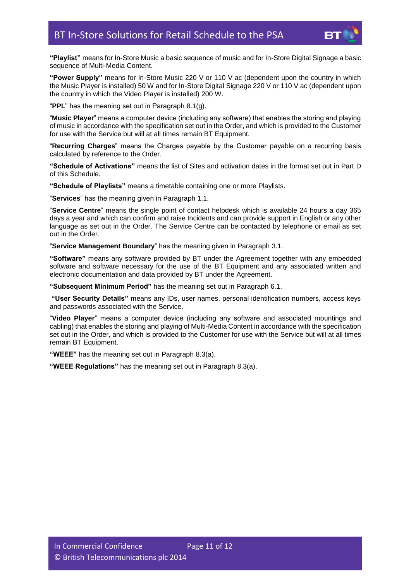

**"Playlist"** means for In-Store Music a basic sequence of music and for In-Store Digital Signage a basic sequence of Multi-Media Content.

**"Power Supply"** means for In-Store Music 220 V or 110 V ac (dependent upon the country in which the Music Player is installed) 50 W and for In-Store Digital Signage 220 V or 110 V ac (dependent upon the country in which the Video Player is installed) 200 W.

"**PPL**" has the meaning set out in Paragraph [8.1\(g\).](#page-4-0)

"**Music Player**" means a computer device (including any software) that enables the storing and playing of music in accordance with the specification set out in the Order, and which is provided to the Customer for use with the Service but will at all times remain BT Equipment.

"**Recurring Charges**" means the Charges payable by the Customer payable on a recurring basis calculated by reference to the Order.

**"Schedule of Activations"** means the list of Sites and activation dates in the format set out in Part D of this Schedule.

**"Schedule of Playlists"** means a timetable containing one or more Playlists.

"**Services**" has the meaning given in Paragraph [1.1.](#page-1-7)

"**Service Centre**" means the single point of contact helpdesk which is available 24 hours a day 365 days a year and which can confirm and raise Incidents and can provide support in English or any other language as set out in the Order. The Service Centre can be contacted by telephone or email as set out in the Order.

"**Service Management Boundary**" has the meaning given in Paragraph [3.1.](#page-1-8)

**"Software"** means any software provided by BT under the Agreement together with any embedded software and software necessary for the use of the BT Equipment and any associated written and electronic documentation and data provided by BT under the Agreement.

**"Subsequent Minimum Period"** has the meaning set out in Paragraph [6.1.](#page-2-3)

**"User Security Details"** means any IDs, user names, personal identification numbers, access keys and passwords associated with the Service.

"**Video Player**" means a computer device (including any software and associated mountings and cabling) that enables the storing and playing of Multi-Media Content in accordance with the specification set out in the Order, and which is provided to the Customer for use with the Service but will at all times remain BT Equipment.

**"WEEE"** has the meaning set out in Paragraph [8.3\(a\).](#page-6-4)

**"WEEE Regulations"** has the meaning set out in Paragraph [8.3\(a\).](#page-6-4)